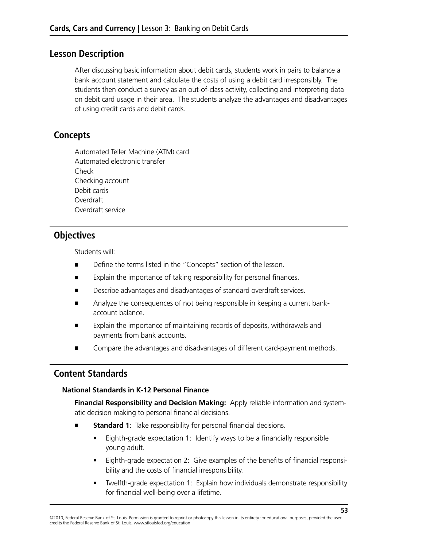### **Lesson Description**

After discussing basic information about debit cards, students work in pairs to balance a bank account statement and calculate the costs of using a debit card irresponsibly. The students then conduct a survey as an out-of-class activity, collecting and interpreting data on debit card usage in their area. The students analyze the advantages and disadvantages of using credit cards and debit cards.

### **Concepts**

Automated Teller Machine (ATM) card Automated electronic transfer Check Checking account Debit cards Overdraft Overdraft service

### **Objectives**

Students will:

- Define the terms listed in the "Concepts" section of the lesson.
- Explain the importance of taking responsibility for personal finances.
- Describe advantages and disadvantages of standard overdraft services.
- Analyze the consequences of not being responsible in keeping a current bankaccount balance.
- Explain the importance of maintaining records of deposits, withdrawals and payments from bank accounts.
- Compare the advantages and disadvantages of different card-payment methods.

### **Content Standards**

#### **National Standards in K-12 Personal Finance**

**Financial Responsibility and Decision Making:** Apply reliable information and systematic decision making to personal financial decisions.

- **Standard 1**: Take responsibility for personal financial decisions.
	- Eighth-grade expectation 1: Identify ways to be a financially responsible young adult.
	- Eighth-grade expectation 2: Give examples of the benefits of financial responsibility and the costs of financial irresponsibility.
	- Twelfth-grade expectation 1: Explain how individuals demonstrate responsibility for financial well-being over a lifetime.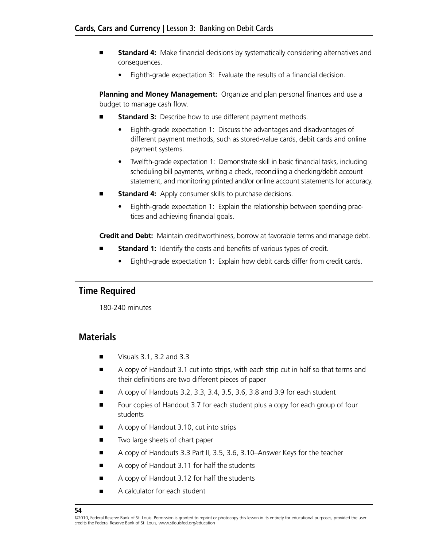- **Standard 4:** Make financial decisions by systematically considering alternatives and consequences.
	- Eighth-grade expectation 3: Evaluate the results of a financial decision.

**Planning and Money Management:** Organize and plan personal finances and use a budget to manage cash flow.

- **Standard 3:** Describe how to use different payment methods.
	- Eighth-grade expectation 1: Discuss the advantages and disadvantages of different payment methods, such as stored-value cards, debit cards and online payment systems.
	- Twelfth-grade expectation 1: Demonstrate skill in basic financial tasks, including scheduling bill payments, writing a check, reconciling a checking/debit account statement, and monitoring printed and/or online account statements for accuracy.
- **Standard 4:** Apply consumer skills to purchase decisions.
	- Eighth-grade expectation 1: Explain the relationship between spending practices and achieving financial goals.

**Credit and Debt:** Maintain creditworthiness, borrow at favorable terms and manage debt.

- **Standard 1:** Identify the costs and benefits of various types of credit.
	- Eighth-grade expectation 1: Explain how debit cards differ from credit cards.

### **Time Required**

180-240 minutes

### **Materials**

- Visuals 3.1, 3.2 and 3.3
- A copy of Handout 3.1 cut into strips, with each strip cut in half so that terms and their definitions are two different pieces of paper
- A copy of Handouts 3.2, 3.3, 3.4, 3.5, 3.6, 3.8 and 3.9 for each student
- Four copies of Handout 3.7 for each student plus a copy for each group of four students
- A copy of Handout 3.10, cut into strips
- Two large sheets of chart paper
- A copy of Handouts 3.3 Part II, 3.5, 3.6, 3.10–Answer Keys for the teacher
- A copy of Handout 3.11 for half the students
- A copy of Handout 3.12 for half the students
- A calculator for each student

<sup>©2010,</sup> Federal Reserve Bank of St. Louis Permission is granted to reprint or photocopy this lesson in its entirety for educational purposes, provided the user credits the Federal Reserve Bank of St. Louis, www.stlouisfed.org/education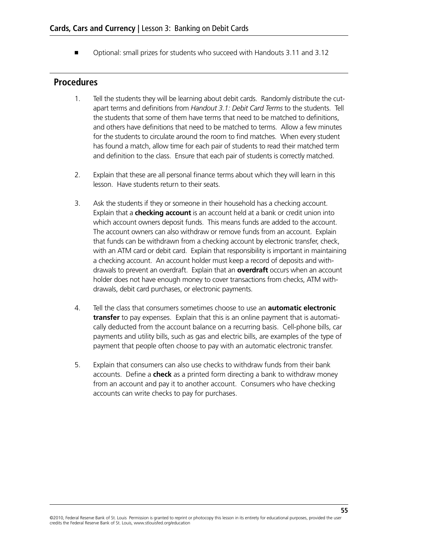■ Optional: small prizes for students who succeed with Handouts 3.11 and 3.12

### **Procedures**

- 1. Tell the students they will be learning about debit cards. Randomly distribute the cutapart terms and definitions from *Handout 3.1: Debit Card Terms* to the students. Tell the students that some of them have terms that need to be matched to definitions, and others have definitions that need to be matched to terms. Allow a few minutes for the students to circulate around the room to find matches. When every student has found a match, allow time for each pair of students to read their matched term and definition to the class. Ensure that each pair of students is correctly matched.
- 2. Explain that these are all personal finance terms about which they will learn in this lesson. Have students return to their seats.
- 3. Ask the students if they or someone in their household has a checking account. Explain that a **checking account** is an account held at a bank or credit union into which account owners deposit funds. This means funds are added to the account. The account owners can also withdraw or remove funds from an account. Explain that funds can be withdrawn from a checking account by electronic transfer, check, with an ATM card or debit card. Explain that responsibility is important in maintaining a checking account. An account holder must keep a record of deposits and withdrawals to prevent an overdraft. Explain that an **overdraft** occurs when an account holder does not have enough money to cover transactions from checks, ATM withdrawals, debit card purchases, or electronic payments.
- 4. Tell the class that consumers sometimes choose to use an **automatic electronic transfer** to pay expenses. Explain that this is an online payment that is automatically deducted from the account balance on a recurring basis. Cell-phone bills, car payments and utility bills, such as gas and electric bills, are examples of the type of payment that people often choose to pay with an automatic electronic transfer.
- 5. Explain that consumers can also use checks to withdraw funds from their bank accounts. Define a **check** as a printed form directing a bank to withdraw money from an account and pay it to another account. Consumers who have checking accounts can write checks to pay for purchases.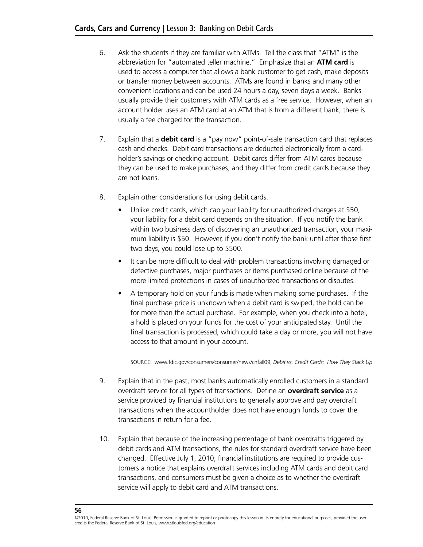- 6. Ask the students if they are familiar with ATMs. Tell the class that "ATM" is the abbreviation for "automated teller machine." Emphasize that an **ATM card** is used to access a computer that allows a bank customer to get cash, make deposits or transfer money between accounts. ATMs are found in banks and many other convenient locations and can be used 24 hours a day, seven days a week. Banks usually provide their customers with ATM cards as a free service. However, when an account holder uses an ATM card at an ATM that is from a different bank, there is usually a fee charged for the transaction.
- 7. Explain that a **debit card** is a "pay now" point-of-sale transaction card that replaces cash and checks. Debit card transactions are deducted electronically from a cardholder's savings or checking account. Debit cards differ from ATM cards because they can be used to make purchases, and they differ from credit cards because they are not loans.
- 8. Explain other considerations for using debit cards.
	- Unlike credit cards, which cap your liability for unauthorized charges at \$50, your liability for a debit card depends on the situation. If you notify the bank within two business days of discovering an unauthorized transaction, your maximum liability is \$50. However, if you don't notify the bank until after those first two days, you could lose up to \$500.
	- It can be more difficult to deal with problem transactions involving damaged or defective purchases, major purchases or items purchased online because of the more limited protections in cases of unauthorized transactions or disputes.
	- A temporary hold on your funds is made when making some purchases. If the final purchase price is unknown when a debit card is swiped, the hold can be for more than the actual purchase. For example, when you check into a hotel, a hold is placed on your funds for the cost of your anticipated stay. Until the final transaction is processed, which could take a day or more, you will not have access to that amount in your account.

Source: www.fdic.gov/consumers/consumer/news/cnfall09; *Debit vs. Credit Cards: How They Stack Up*

- 9. Explain that in the past, most banks automatically enrolled customers in a standard overdraft service for all types of transactions. Define an **overdraft service** as a service provided by financial institutions to generally approve and pay overdraft transactions when the accountholder does not have enough funds to cover the transactions in return for a fee.
- 10. Explain that because of the increasing percentage of bank overdrafts triggered by debit cards and ATM transactions, the rules for standard overdraft service have been changed. Effective July 1, 2010, financial institutions are required to provide customers a notice that explains overdraft services including ATM cards and debit card transactions, and consumers must be given a choice as to whether the overdraft service will apply to debit card and ATM transactions.

<sup>©2010,</sup> Federal Reserve Bank of St. Louis Permission is granted to reprint or photocopy this lesson in its entirety for educational purposes, provided the user credits the Federal Reserve Bank of St. Louis, www.stlouisfed.org/education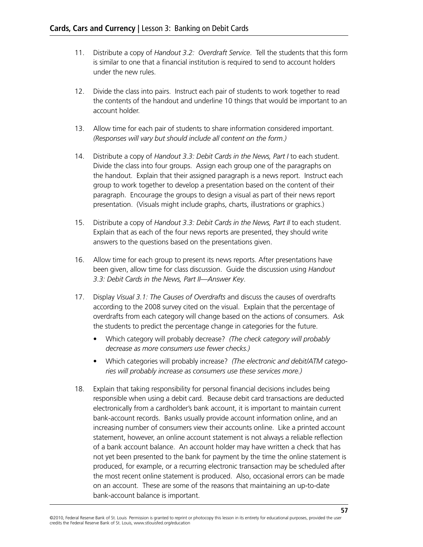- 11. Distribute a copy of *Handout 3.2: Overdraft Service*. Tell the students that this form is similar to one that a financial institution is required to send to account holders under the new rules.
- 12. Divide the class into pairs. Instruct each pair of students to work together to read the contents of the handout and underline 10 things that would be important to an account holder.
- 13. Allow time for each pair of students to share information considered important. *(Responses will vary but should include all content on the form.)*
- 14. Distribute a copy of *Handout 3.3: Debit Cards in the News, Part I* to each student. Divide the class into four groups. Assign each group one of the paragraphs on the handout. Explain that their assigned paragraph is a news report. Instruct each group to work together to develop a presentation based on the content of their paragraph. Encourage the groups to design a visual as part of their news report presentation. (Visuals might include graphs, charts, illustrations or graphics.)
- 15. Distribute a copy of *Handout 3.3: Debit Cards in the News, Part II* to each student. Explain that as each of the four news reports are presented, they should write answers to the questions based on the presentations given.
- 16. Allow time for each group to present its news reports. After presentations have been given, allow time for class discussion. Guide the discussion using *Handout 3.3: Debit Cards in the News, Part II—Answer Key*.
- 17. Display *Visual 3.1: The Causes of Overdrafts* and discuss the causes of overdrafts according to the 2008 survey cited on the visual. Explain that the percentage of overdrafts from each category will change based on the actions of consumers. Ask the students to predict the percentage change in categories for the future.
	- • Which category will probably decrease? *(The check category will probably decrease as more consumers use fewer checks.)*
	- • Which categories will probably increase? *(The electronic and debit/ATM categories will probably increase as consumers use these services more.)*
- 18. Explain that taking responsibility for personal financial decisions includes being responsible when using a debit card. Because debit card transactions are deducted electronically from a cardholder's bank account, it is important to maintain current bank-account records. Banks usually provide account information online, and an increasing number of consumers view their accounts online. Like a printed account statement, however, an online account statement is not always a reliable reflection of a bank account balance. An account holder may have written a check that has not yet been presented to the bank for payment by the time the online statement is produced, for example, or a recurring electronic transaction may be scheduled after the most recent online statement is produced. Also, occasional errors can be made on an account. These are some of the reasons that maintaining an up-to-date bank-account balance is important.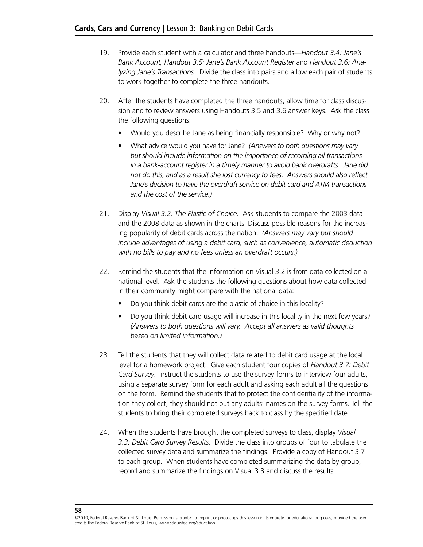- 19. Provide each student with a calculator and three handouts—*Handout 3.4: Jane's Bank Account, Handout 3.5: Jane's Bank Account Register* and *Handout 3.6: Analyzing Jane's Transactions*. Divide the class into pairs and allow each pair of students to work together to complete the three handouts.
- 20. After the students have completed the three handouts, allow time for class discussion and to review answers using Handouts 3.5 and 3.6 answer keys. Ask the class the following questions:
	- Would you describe Jane as being financially responsible? Why or why not?
	- • What advice would you have for Jane? *(Answers to both questions may vary but should include information on the importance of recording all transactions in a bank-account register in a timely manner to avoid bank overdrafts. Jane did not do this, and as a result she lost currency to fees. Answers should also reflect Jane's decision to have the overdraft service on debit card and ATM transactions and the cost of the service.)*
- 21. Display *Visual 3.2: The Plastic of Choice.* Ask students to compare the 2003 data and the 2008 data as shown in the charts Discuss possible reasons for the increasing popularity of debit cards across the nation. *(Answers may vary but should include advantages of using a debit card, such as convenience, automatic deduction with no bills to pay and no fees unless an overdraft occurs.)*
- 22. Remind the students that the information on Visual 3.2 is from data collected on a national level. Ask the students the following questions about how data collected in their community might compare with the national data:
	- Do you think debit cards are the plastic of choice in this locality?
	- Do you think debit card usage will increase in this locality in the next few years? *(Answers to both questions will vary. Accept all answers as valid thoughts based on limited information.)*
- 23. Tell the students that they will collect data related to debit card usage at the local level for a homework project. Give each student four copies of *Handout 3.7: Debit Card Survey.* Instruct the students to use the survey forms to interview four adults, using a separate survey form for each adult and asking each adult all the questions on the form. Remind the students that to protect the confidentiality of the information they collect, they should not put any adults' names on the survey forms. Tell the students to bring their completed surveys back to class by the specified date.
- 24. When the students have brought the completed surveys to class, display *Visual 3.3: Debit Card Survey Results*. Divide the class into groups of four to tabulate the collected survey data and summarize the findings. Provide a copy of Handout 3.7 to each group. When students have completed summarizing the data by group, record and summarize the findings on Visual 3.3 and discuss the results.

<sup>©2010,</sup> Federal Reserve Bank of St. Louis Permission is granted to reprint or photocopy this lesson in its entirety for educational purposes, provided the user credits the Federal Reserve Bank of St. Louis, www.stlouisfed.org/education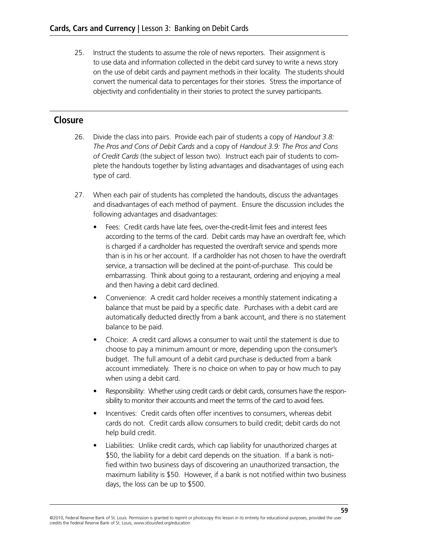25. Instruct the students to assume the role of news reporters. Their assignment is to use data and information collected in the debit card survey to write a news story on the use of debit cards and payment methods in their locality. The students should convert the numerical data to percentages for their stories. Stress the importance of objectivity and confidentiality in their stories to protect the survey participants.

### **Closure**

- 26. Divide the class into pairs. Provide each pair of students a copy of *Handout 3.8: The Pros and Cons of Debit Cards* and a copy of *Handout 3.9: The Pros and Cons of Credit Cards* (the subject of lesson two). Instruct each pair of students to complete the handouts together by listing advantages and disadvantages of using each type of card.
- 27. When each pair of students has completed the handouts, discuss the advantages and disadvantages of each method of payment. Ensure the discussion includes the following advantages and disadvantages:
	- Fees: Credit cards have late fees, over-the-credit-limit fees and interest fees according to the terms of the card. Debit cards may have an overdraft fee, which is charged if a cardholder has requested the overdraft service and spends more than is in his or her account. If a cardholder has not chosen to have the overdraft service, a transaction will be declined at the point-of-purchase. This could be embarrassing. Think about going to a restaurant, ordering and enjoying a meal and then having a debit card declined.
	- Convenience: A credit card holder receives a monthly statement indicating a balance that must be paid by a specific date. Purchases with a debit card are automatically deducted directly from a bank account, and there is no statement balance to be paid.
	- Choice: A credit card allows a consumer to wait until the statement is due to choose to pay a minimum amount or more, depending upon the consumer's budget. The full amount of a debit card purchase is deducted from a bank account immediately. There is no choice on when to pay or how much to pay when using a debit card.
	- Responsibility: Whether using credit cards or debit cards, consumers have the responsibility to monitor their accounts and meet the terms of the card to avoid fees.
	- Incentives: Credit cards often offer incentives to consumers, whereas debit cards do not. Credit cards allow consumers to build credit; debit cards do not help build credit.
	- Liabilities: Unlike credit cards, which cap liability for unauthorized charges at \$50, the liability for a debit card depends on the situation. If a bank is notified within two business days of discovering an unauthorized transaction, the maximum liability is \$50. However, if a bank is not notified within two business days, the loss can be up to \$500.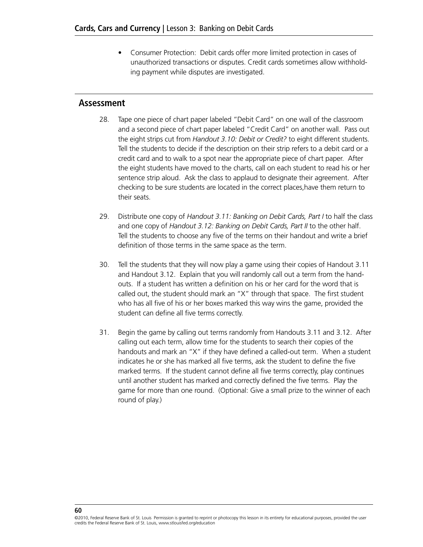• Consumer Protection: Debit cards offer more limited protection in cases of unauthorized transactions or disputes. Credit cards sometimes allow withholding payment while disputes are investigated.

### **Assessment**

- 28. Tape one piece of chart paper labeled "Debit Card" on one wall of the classroom and a second piece of chart paper labeled "Credit Card" on another wall. Pass out the eight strips cut from *Handout 3.10: Debit or Credit?* to eight different students. Tell the students to decide if the description on their strip refers to a debit card or a credit card and to walk to a spot near the appropriate piece of chart paper. After the eight students have moved to the charts, call on each student to read his or her sentence strip aloud. Ask the class to applaud to designate their agreement. After checking to be sure students are located in the correct places,have them return to their seats.
- 29. Distribute one copy of *Handout 3.11: Banking on Debit Cards, Part I* to half the class and one copy of *Handout 3.12: Banking on Debit Cards, Part II* to the other half. Tell the students to choose any five of the terms on their handout and write a brief definition of those terms in the same space as the term.
- 30. Tell the students that they will now play a game using their copies of Handout 3.11 and Handout 3.12. Explain that you will randomly call out a term from the handouts. If a student has written a definition on his or her card for the word that is called out, the student should mark an "X" through that space. The first student who has all five of his or her boxes marked this way wins the game, provided the student can define all five terms correctly.
- 31. Begin the game by calling out terms randomly from Handouts 3.11 and 3.12. After calling out each term, allow time for the students to search their copies of the handouts and mark an "X" if they have defined a called-out term. When a student indicates he or she has marked all five terms, ask the student to define the five marked terms. If the student cannot define all five terms correctly, play continues until another student has marked and correctly defined the five terms. Play the game for more than one round. (Optional: Give a small prize to the winner of each round of play.)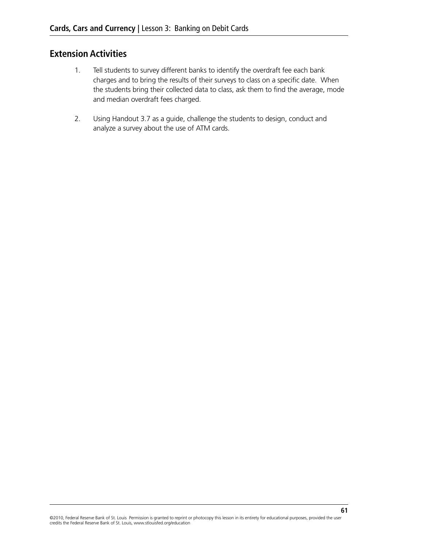### **Extension Activities**

- 1. Tell students to survey different banks to identify the overdraft fee each bank charges and to bring the results of their surveys to class on a specific date. When the students bring their collected data to class, ask them to find the average, mode and median overdraft fees charged.
- 2. Using Handout 3.7 as a guide, challenge the students to design, conduct and analyze a survey about the use of ATM cards.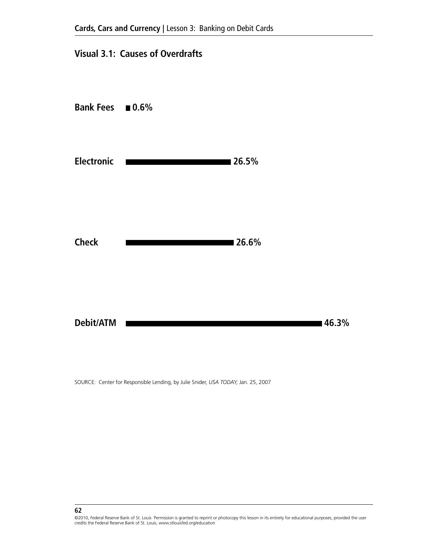### **Visual 3.1: Causes of Overdrafts**



SOURCE: Center for Responsible Lending, by Julie Snider, *USA TODAY,* Jan. 25, 2007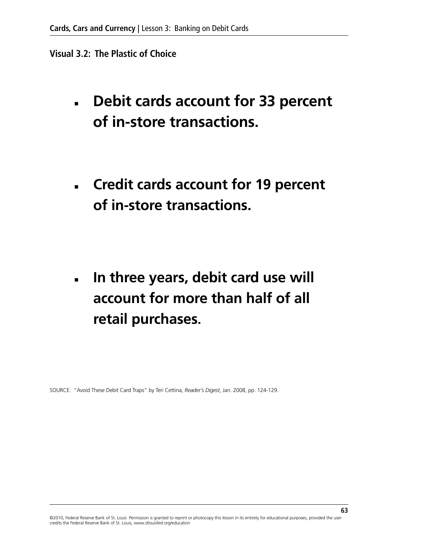### **Visual 3.2: The Plastic of Choice**

- **Debit cards account for 33 percent of in-store transactions.**
- **Credit cards account for 19 percent of in-store transactions.**

■ **In three years, debit card use will account for more than half of all retail purchases.**

SOURCE: "Avoid These Debit Card Traps" by Teri Cettina, *Reader's Digest*, Jan. 2008, pp. 124-129.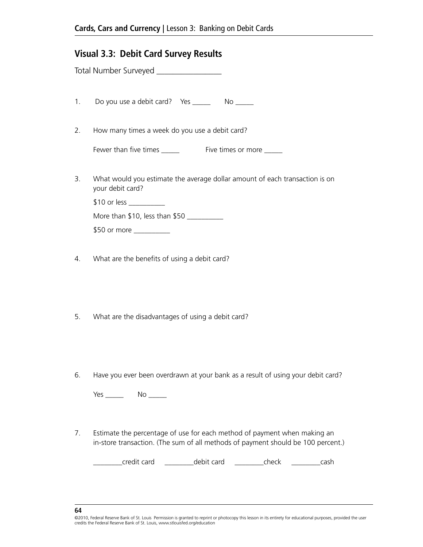### **Visual 3.3: Debit Card Survey Results**

|    | Total Number Surveyed _________________                                                         |
|----|-------------------------------------------------------------------------------------------------|
|    | 1. Do you use a debit card? Yes _________ No ______                                             |
| 2. | How many times a week do you use a debit card?                                                  |
|    | Fewer than five times The South Company Five times or more                                      |
| 3. | What would you estimate the average dollar amount of each transaction is on<br>your debit card? |
|    | $$10$ or less ___________                                                                       |
|    | More than $$10$ , less than $$50$                                                               |
|    | \$50 or more __________                                                                         |
|    |                                                                                                 |

- 4. What are the benefits of using a debit card?
- 5. What are the disadvantages of using a debit card?
- 6. Have you ever been overdrawn at your bank as a result of using your debit card?

Yes \_\_\_\_\_\_\_\_ No \_\_\_\_\_\_

7. Estimate the percentage of use for each method of payment when making an in-store transaction. (The sum of all methods of payment should be 100 percent.)

\_\_\_\_\_\_\_\_credit card \_\_\_\_\_\_\_\_debit card \_\_\_\_\_\_\_\_check \_\_\_\_\_\_\_\_cash

**<sup>64</sup>**

<sup>©2010,</sup> Federal Reserve Bank of St. Louis Permission is granted to reprint or photocopy this lesson in its entirety for educational purposes, provided the user credits the Federal Reserve Bank of St. Louis, www.stlouisfed.org/education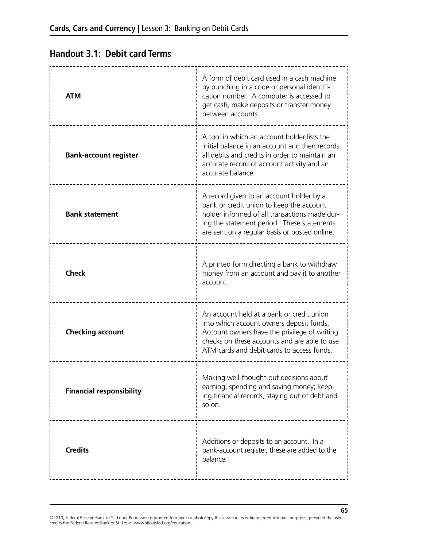## **Handout 3.1: Debit card Terms**

| <b>ATM</b>                      | A form of debit card used in a cash machine<br>by punching in a code or personal identifi-<br>cation number. A computer is accessed to<br>get cash, make deposits or transfer money<br>between accounts.                             |
|---------------------------------|--------------------------------------------------------------------------------------------------------------------------------------------------------------------------------------------------------------------------------------|
| <b>Bank-account register</b>    | A tool in which an account holder lists the<br>initial balance in an account and then records<br>all debits and credits in order to maintain an<br>accurate record of account activity and an<br>accurate balance.                   |
| <b>Bank statement</b>           | A record given to an account holder by a<br>bank or credit union to keep the account<br>holder informed of all transactions made dur-<br>ing the statement period. These statements<br>are sent on a regular basis or posted online. |
| <b>Check</b>                    | A printed form directing a bank to withdraw<br>money from an account and pay it to another<br>account.                                                                                                                               |
| <b>Checking account</b>         | An account held at a bank or credit union<br>into which account owners deposit funds.<br>Account owners have the privilege of writing<br>checks on these accounts and are able to use<br>ATM cards and debit cards to access funds.  |
| <b>Financial responsibility</b> | Making well-thought-out decisions about<br>earning, spending and saving money; keep-<br>ing financial records, staying out of debt and<br>so on.                                                                                     |
| <b>Credits</b>                  | Additions or deposits to an account. In a<br>bank-account register, these are added to the<br>balance.                                                                                                                               |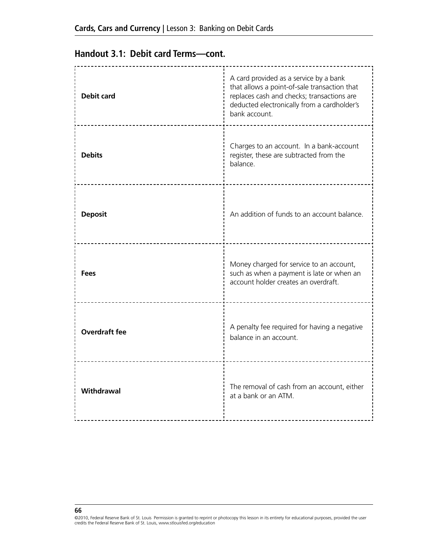## **Handout 3.1: Debit card Terms—cont.**

| <b>Debit card</b>    | A card provided as a service by a bank<br>that allows a point-of-sale transaction that<br>replaces cash and checks; transactions are<br>deducted electronically from a cardholder's<br>bank account. |
|----------------------|------------------------------------------------------------------------------------------------------------------------------------------------------------------------------------------------------|
| <b>Debits</b>        | Charges to an account. In a bank-account<br>register, these are subtracted from the<br>balance.                                                                                                      |
| <b>Deposit</b>       | An addition of funds to an account balance.                                                                                                                                                          |
| <b>Fees</b>          | Money charged for service to an account,<br>such as when a payment is late or when an<br>account holder creates an overdraft.                                                                        |
| <b>Overdraft fee</b> | A penalty fee required for having a negative<br>balance in an account.                                                                                                                               |
| Withdrawal           | The removal of cash from an account, either<br>at a bank or an ATM.                                                                                                                                  |

<sup>©2010,</sup> Federal Reserve Bank of St. Louis Permission is granted to reprint or photocopy this lesson in its entirety for educational purposes, provided the user<br>credits the Federal Reserve Bank of St. Louis, www.stlouisfed.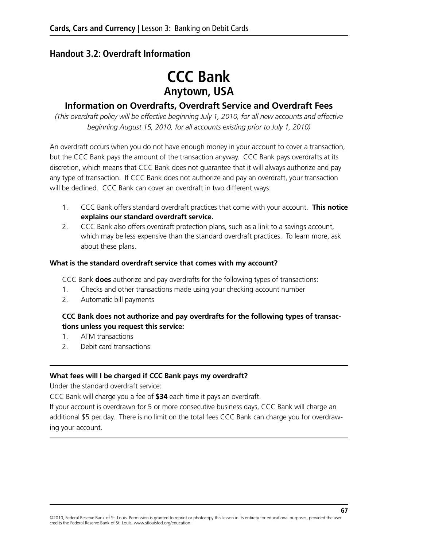### **Handout 3.2: Overdraft Information**

# **CCC Bank Anytown, USA**

### **Information on Overdrafts, Overdraft Service and Overdraft Fees**

*(This overdraft policy will be effective beginning July 1, 2010, for all new accounts and effective beginning August 15, 2010, for all accounts existing prior to July 1, 2010)*

An overdraft occurs when you do not have enough money in your account to cover a transaction, but the CCC Bank pays the amount of the transaction anyway. CCC Bank pays overdrafts at its discretion, which means that CCC Bank does not guarantee that it will always authorize and pay any type of transaction. If CCC Bank does not authorize and pay an overdraft, your transaction will be declined. CCC Bank can cover an overdraft in two different ways:

- 1. CCC Bank offers standard overdraft practices that come with your account. **This notice explains our standard overdraft service.**
- 2. CCC Bank also offers overdraft protection plans, such as a link to a savings account, which may be less expensive than the standard overdraft practices. To learn more, ask about these plans.

#### **What is the standard overdraft service that comes with my account?**

CCC Bank **does** authorize and pay overdrafts for the following types of transactions:

- 1. Checks and other transactions made using your checking account number
- 2. Automatic bill payments

### **CCC Bank does not authorize and pay overdrafts for the following types of transactions unless you request this service:**

- 1. ATM transactions
- 2. Debit card transactions

#### **What fees will I be charged if CCC Bank pays my overdraft?**

Under the standard overdraft service:

CCC Bank will charge you a fee of **\$34** each time it pays an overdraft.

If your account is overdrawn for 5 or more consecutive business days, CCC Bank will charge an additional \$5 per day. There is no limit on the total fees CCC Bank can charge you for overdrawing your account.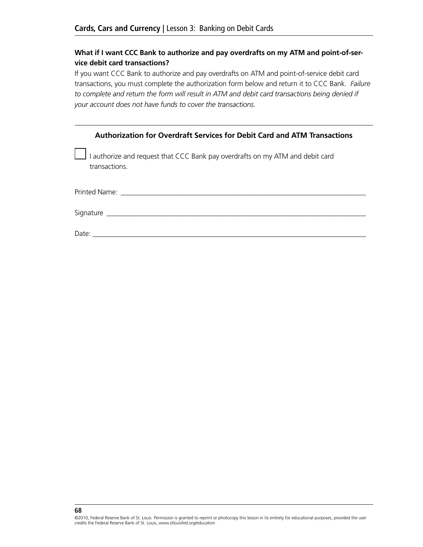### **What if I want CCC Bank to authorize and pay overdrafts on my ATM and point-of-service debit card transactions?**

If you want CCC Bank to authorize and pay overdrafts on ATM and point-of-service debit card transactions, you must complete the authorization form below and return it to CCC Bank. *Failure to complete and return the form will result in ATM and debit card transactions being denied if your account does not have funds to cover the transactions.*

| Authorization for Overdraft Services for Debit Card and ATM Transactions                       |
|------------------------------------------------------------------------------------------------|
| I authorize and request that CCC Bank pay overdrafts on my ATM and debit card<br>transactions. |
|                                                                                                |
|                                                                                                |
| Date:                                                                                          |

©2010, Federal Reserve Bank of St. Louis Permission is granted to reprint or photocopy this lesson in its entirety for educational purposes, provided the user credits the Federal Reserve Bank of St. Louis, www.stlouisfed.org/education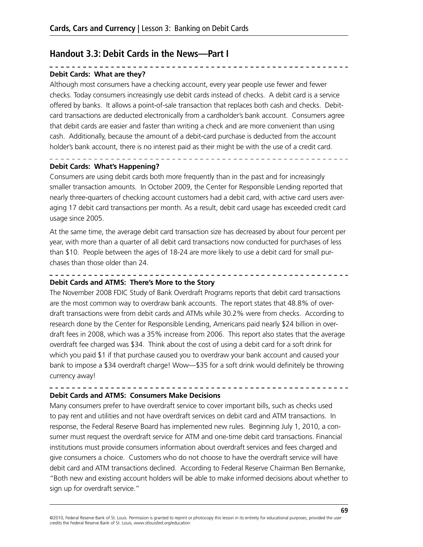### **Handout 3.3: Debit Cards in the News—Part I**

#### **Debit Cards: What are they?**

Although most consumers have a checking account, every year people use fewer and fewer checks. Today consumers increasingly use debit cards instead of checks. A debit card is a service offered by banks. It allows a point-of-sale transaction that replaces both cash and checks. Debitcard transactions are deducted electronically from a cardholder's bank account. Consumers agree that debit cards are easier and faster than writing a check and are more convenient than using cash. Additionally, because the amount of a debit-card purchase is deducted from the account holder's bank account, there is no interest paid as their might be with the use of a credit card.

#### **Debit Cards: What's Happening?**

Consumers are using debit cards both more frequently than in the past and for increasingly smaller transaction amounts. In October 2009, the Center for Responsible Lending reported that nearly three-quarters of checking account customers had a debit card, with active card users averaging 17 debit card transactions per month. As a result, debit card usage has exceeded credit card usage since 2005.

. . . . . . . . . . . . . . . . . . . .

At the same time, the average debit card transaction size has decreased by about four percent per year, with more than a quarter of all debit card transactions now conducted for purchases of less than \$10. People between the ages of 18-24 are more likely to use a debit card for small purchases than those older than 24.

#### **Debit Cards and ATMS: There's More to the Story**

The November 2008 FDIC Study of Bank Overdraft Programs reports that debit card transactions are the most common way to overdraw bank accounts. The report states that 48.8% of overdraft transactions were from debit cards and ATMs while 30.2% were from checks. According to research done by the Center for Responsible Lending, Americans paid nearly \$24 billion in overdraft fees in 2008, which was a 35% increase from 2006. This report also states that the average overdraft fee charged was \$34. Think about the cost of using a debit card for a soft drink for which you paid \$1 if that purchase caused you to overdraw your bank account and caused your bank to impose a \$34 overdraft charge! Wow—\$35 for a soft drink would definitely be throwing currency away!

### **Debit Cards and ATMS: Consumers Make Decisions**

Many consumers prefer to have overdraft service to cover important bills, such as checks used to pay rent and utilities and not have overdraft services on debit card and ATM transactions. In response, the Federal Reserve Board has implemented new rules. Beginning July 1, 2010, a consumer must request the overdraft service for ATM and one-time debit card transactions. Financial institutions must provide consumers information about overdraft services and fees charged and give consumers a choice. Customers who do not choose to have the overdraft service will have debit card and ATM transactions declined. According to Federal Reserve Chairman Ben Bernanke, "Both new and existing account holders will be able to make informed decisions about whether to sign up for overdraft service."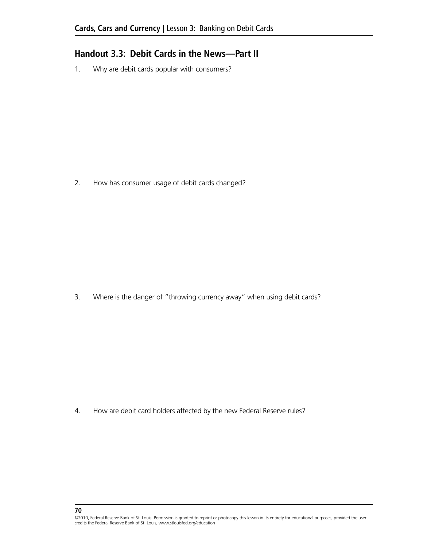### **Handout 3.3: Debit Cards in the News—Part II**

1. Why are debit cards popular with consumers?

2. How has consumer usage of debit cards changed?

3. Where is the danger of "throwing currency away" when using debit cards?

4. How are debit card holders affected by the new Federal Reserve rules?

<sup>©2010,</sup> Federal Reserve Bank of St. Louis Permission is granted to reprint or photocopy this lesson in its entirety for educational purposes, provided the user credits the Federal Reserve Bank of St. Louis, www.stlouisfed.org/education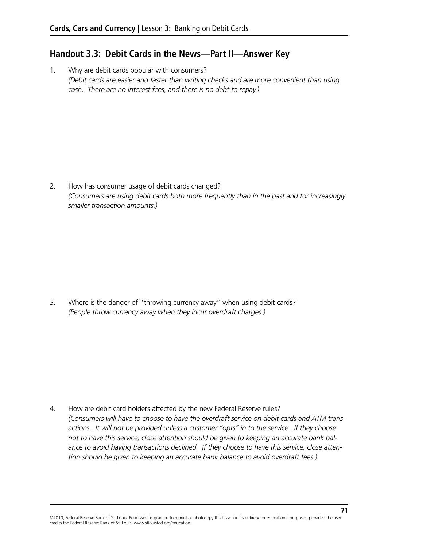### **Handout 3.3: Debit Cards in the News—Part II—Answer Key**

1. Why are debit cards popular with consumers? *(Debit cards are easier and faster than writing checks and are more convenient than using cash. There are no interest fees, and there is no debt to repay.)*

2. How has consumer usage of debit cards changed? *(Consumers are using debit cards both more frequently than in the past and for increasingly smaller transaction amounts.)*

3. Where is the danger of "throwing currency away" when using debit cards? *(People throw currency away when they incur overdraft charges.)*

4. How are debit card holders affected by the new Federal Reserve rules? *(Consumers will have to choose to have the overdraft service on debit cards and ATM transactions. It will not be provided unless a customer "opts" in to the service. If they choose not to have this service, close attention should be given to keeping an accurate bank balance to avoid having transactions declined. If they choose to have this service, close attention should be given to keeping an accurate bank balance to avoid overdraft fees.)*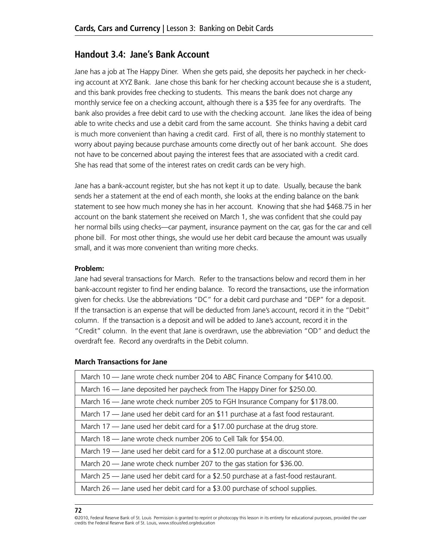### **Handout 3.4: Jane's Bank Account**

Jane has a job at The Happy Diner. When she gets paid, she deposits her paycheck in her checking account at XYZ Bank. Jane chose this bank for her checking account because she is a student, and this bank provides free checking to students. This means the bank does not charge any monthly service fee on a checking account, although there is a \$35 fee for any overdrafts. The bank also provides a free debit card to use with the checking account. Jane likes the idea of being able to write checks and use a debit card from the same account. She thinks having a debit card is much more convenient than having a credit card. First of all, there is no monthly statement to worry about paying because purchase amounts come directly out of her bank account. She does not have to be concerned about paying the interest fees that are associated with a credit card. She has read that some of the interest rates on credit cards can be very high.

Jane has a bank-account register, but she has not kept it up to date. Usually, because the bank sends her a statement at the end of each month, she looks at the ending balance on the bank statement to see how much money she has in her account. Knowing that she had \$468.75 in her account on the bank statement she received on March 1, she was confident that she could pay her normal bills using checks—car payment, insurance payment on the car, gas for the car and cell phone bill. For most other things, she would use her debit card because the amount was usually small, and it was more convenient than writing more checks.

#### **Problem:**

Jane had several transactions for March. Refer to the transactions below and record them in her bank-account register to find her ending balance. To record the transactions, use the information given for checks. Use the abbreviations "DC" for a debit card purchase and "DEP" for a deposit. If the transaction is an expense that will be deducted from Jane's account, record it in the "Debit" column. If the transaction is a deposit and will be added to Jane's account, record it in the "Credit" column. In the event that Jane is overdrawn, use the abbreviation "OD" and deduct the overdraft fee. Record any overdrafts in the Debit column.

#### **March Transactions for Jane**

| March 10 - Jane wrote check number 204 to ABC Finance Company for \$410.00.          |
|--------------------------------------------------------------------------------------|
| March 16 - Jane deposited her paycheck from The Happy Diner for \$250.00.            |
| March 16 — Jane wrote check number 205 to FGH Insurance Company for \$178.00.        |
| March 17 — Jane used her debit card for an \$11 purchase at a fast food restaurant.  |
| March 17 — Jane used her debit card for a \$17.00 purchase at the drug store.        |
| March 18 - Jane wrote check number 206 to Cell Talk for \$54.00.                     |
| March 19 — Jane used her debit card for a \$12.00 purchase at a discount store.      |
| March 20 — Jane wrote check number 207 to the gas station for \$36.00.               |
| March 25 - Jane used her debit card for a \$2.50 purchase at a fast-food restaurant. |
| March 26 — Jane used her debit card for a \$3.00 purchase of school supplies.        |

<sup>©2010,</sup> Federal Reserve Bank of St. Louis Permission is granted to reprint or photocopy this lesson in its entirety for educational purposes, provided the user credits the Federal Reserve Bank of St. Louis, www.stlouisfed.org/education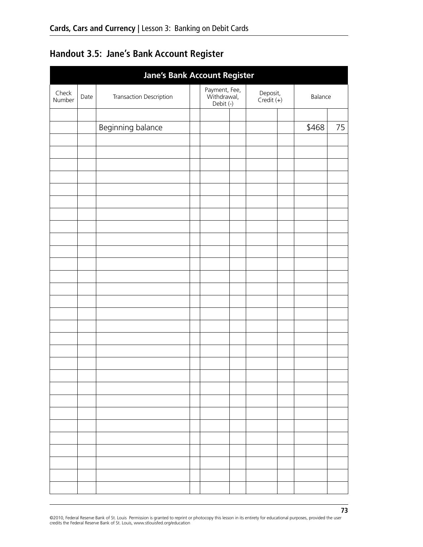# **Handout 3.5: Jane's Bank Account Register**

| <b>Jane's Bank Account Register</b> |      |                         |  |                                           |  |                        |         |    |
|-------------------------------------|------|-------------------------|--|-------------------------------------------|--|------------------------|---------|----|
| Check<br>Number                     | Date | Transaction Description |  | Payment, Fee,<br>Withdrawal,<br>Debit (-) |  | Deposit,<br>Credit (+) | Balance |    |
|                                     |      |                         |  |                                           |  |                        |         |    |
|                                     |      | Beginning balance       |  |                                           |  |                        | \$468   | 75 |
|                                     |      |                         |  |                                           |  |                        |         |    |
|                                     |      |                         |  |                                           |  |                        |         |    |
|                                     |      |                         |  |                                           |  |                        |         |    |
|                                     |      |                         |  |                                           |  |                        |         |    |
|                                     |      |                         |  |                                           |  |                        |         |    |
|                                     |      |                         |  |                                           |  |                        |         |    |
|                                     |      |                         |  |                                           |  |                        |         |    |
|                                     |      |                         |  |                                           |  |                        |         |    |
|                                     |      |                         |  |                                           |  |                        |         |    |
|                                     |      |                         |  |                                           |  |                        |         |    |
|                                     |      |                         |  |                                           |  |                        |         |    |
|                                     |      |                         |  |                                           |  |                        |         |    |
|                                     |      |                         |  |                                           |  |                        |         |    |
|                                     |      |                         |  |                                           |  |                        |         |    |
|                                     |      |                         |  |                                           |  |                        |         |    |
|                                     |      |                         |  |                                           |  |                        |         |    |
|                                     |      |                         |  |                                           |  |                        |         |    |
|                                     |      |                         |  |                                           |  |                        |         |    |
|                                     |      |                         |  |                                           |  |                        |         |    |
|                                     |      |                         |  |                                           |  |                        |         |    |
|                                     |      |                         |  |                                           |  |                        |         |    |
|                                     |      |                         |  |                                           |  |                        |         |    |
|                                     |      |                         |  |                                           |  |                        |         |    |
|                                     |      |                         |  |                                           |  |                        |         |    |
|                                     |      |                         |  |                                           |  |                        |         |    |
|                                     |      |                         |  |                                           |  |                        |         |    |
|                                     |      |                         |  |                                           |  |                        |         |    |
|                                     |      |                         |  |                                           |  |                        |         |    |
|                                     |      |                         |  |                                           |  |                        |         |    |
|                                     |      |                         |  |                                           |  |                        |         |    |

©2010, Federal Reserve Bank of St. Louis Permission is granted to reprint or photocopy this lesson in its entirety for educational purposes, provided the user<br>credits the Federal Reserve Bank of St. Louis, www.stlouisfed.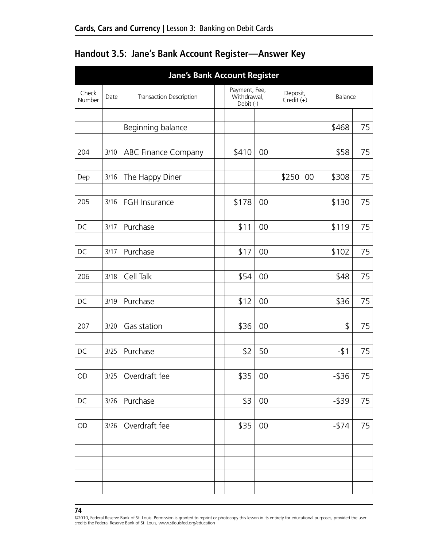| <b>Jane's Bank Account Register</b> |      |                            |  |                                           |        |                          |    |          |    |
|-------------------------------------|------|----------------------------|--|-------------------------------------------|--------|--------------------------|----|----------|----|
| Check<br>Number                     | Date | Transaction Description    |  | Payment, Fee,<br>Withdrawal,<br>Debit (-) |        | Deposit,<br>$Credit (+)$ |    | Balance  |    |
|                                     |      | Beginning balance          |  |                                           |        |                          |    | \$468    | 75 |
| 204                                 | 3/10 | <b>ABC Finance Company</b> |  | \$410                                     | 00     |                          |    | \$58     | 75 |
| Dep                                 | 3/16 | The Happy Diner            |  |                                           |        | \$250                    | 00 | \$308    | 75 |
| 205                                 | 3/16 | FGH Insurance              |  | \$178                                     | 00     |                          |    | \$130    | 75 |
| DC                                  | 3/17 | Purchase                   |  | \$11                                      | 00     |                          |    | \$119    | 75 |
| DC                                  | 3/17 | Purchase                   |  | \$17                                      | 00     |                          |    | \$102    | 75 |
| 206                                 | 3/18 | Cell Talk                  |  | \$54                                      | 00     |                          |    | \$48     | 75 |
|                                     |      |                            |  |                                           |        |                          |    |          |    |
| DC                                  | 3/19 | Purchase                   |  | \$12                                      | 00     |                          |    | \$36     | 75 |
| 207                                 | 3/20 | Gas station                |  | \$36                                      | 00     |                          |    | \$       | 75 |
| DC                                  | 3/25 | Purchase                   |  | \$2                                       | 50     |                          |    | $-51$    | 75 |
| $\mathsf{OD}$                       |      | 3/25   Overdraft fee       |  | \$35                                      | $00\,$ |                          |    | $-$ \$36 | 75 |
| DC                                  | 3/26 | Purchase                   |  | \$3                                       | 00     |                          |    | $-$ \$39 | 75 |
| OD                                  | 3/26 | Overdraft fee              |  | \$35                                      | 00     |                          |    | $-1574$  | 75 |
|                                     |      |                            |  |                                           |        |                          |    |          |    |
|                                     |      |                            |  |                                           |        |                          |    |          |    |
|                                     |      |                            |  |                                           |        |                          |    |          |    |

## **Handout 3.5: Jane's Bank Account Register—Answer Key**

#### **74**

©2010, Federal Reserve Bank of St. Louis Permission is granted to reprint or photocopy this lesson in its entirety for educational purposes, provided the user credits the Federal Reserve Bank of St. Louis, www.stlouisfed.org/education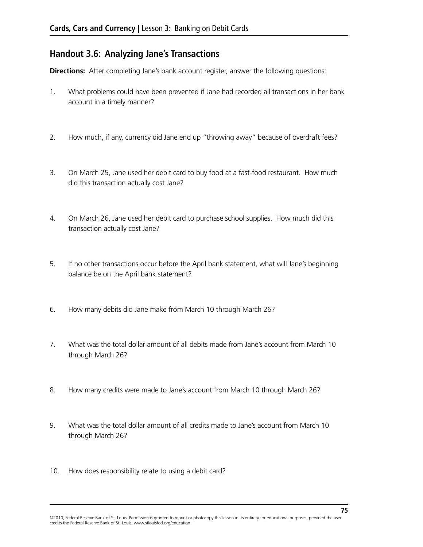### **Handout 3.6: Analyzing Jane's Transactions**

**Directions:** After completing Jane's bank account register, answer the following questions:

- 1. What problems could have been prevented if Jane had recorded all transactions in her bank account in a timely manner?
- 2. How much, if any, currency did Jane end up "throwing away" because of overdraft fees?
- 3. On March 25, Jane used her debit card to buy food at a fast-food restaurant. How much did this transaction actually cost Jane?
- 4. On March 26, Jane used her debit card to purchase school supplies. How much did this transaction actually cost Jane?
- 5. If no other transactions occur before the April bank statement, what will Jane's beginning balance be on the April bank statement?
- 6. How many debits did Jane make from March 10 through March 26?
- 7. What was the total dollar amount of all debits made from Jane's account from March 10 through March 26?
- 8. How many credits were made to Jane's account from March 10 through March 26?
- 9. What was the total dollar amount of all credits made to Jane's account from March 10 through March 26?
- 10. How does responsibility relate to using a debit card?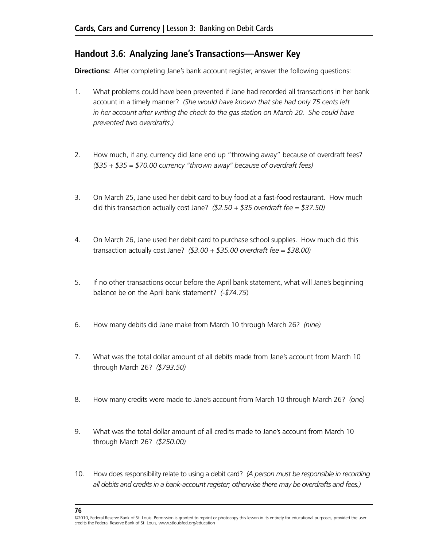### **Handout 3.6: Analyzing Jane's Transactions—Answer Key**

**Directions:** After completing Jane's bank account register, answer the following questions:

- 1. What problems could have been prevented if Jane had recorded all transactions in her bank account in a timely manner? *(She would have known that she had only 75 cents left in her account after writing the check to the gas station on March 20. She could have prevented two overdrafts.)*
- 2. How much, if any, currency did Jane end up "throwing away" because of overdraft fees? *(\$35 + \$35 = \$70.00 currency "thrown away" because of overdraft fees)*
- 3. On March 25, Jane used her debit card to buy food at a fast-food restaurant. How much did this transaction actually cost Jane? *(\$2.50 + \$35 overdraft fee = \$37.50)*
- 4. On March 26, Jane used her debit card to purchase school supplies. How much did this transaction actually cost Jane? *(\$3.00 + \$35.00 overdraft fee = \$38.00)*
- 5. If no other transactions occur before the April bank statement, what will Jane's beginning balance be on the April bank statement? *(-\$74.75*)
- 6. How many debits did Jane make from March 10 through March 26? *(nine)*
- 7. What was the total dollar amount of all debits made from Jane's account from March 10 through March 26? *(\$793.50)*
- 8. How many credits were made to Jane's account from March 10 through March 26? *(one)*
- 9. What was the total dollar amount of all credits made to Jane's account from March 10 through March 26? *(\$250.00)*
- 10. How does responsibility relate to using a debit card? *(A person must be responsible in recording all debits and credits in a bank-account register; otherwise there may be overdrafts and fees.)*

<sup>©2010,</sup> Federal Reserve Bank of St. Louis Permission is granted to reprint or photocopy this lesson in its entirety for educational purposes, provided the user credits the Federal Reserve Bank of St. Louis, www.stlouisfed.org/education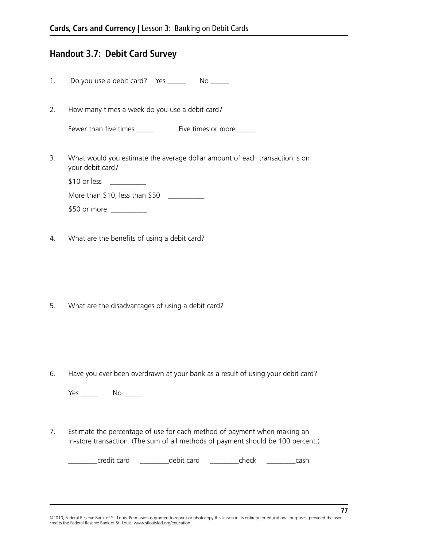### **Handout 3.7: Debit Card Survey**

1. Do you use a debit card? Yes \_\_\_\_\_\_\_ No \_\_\_\_\_

2. How many times a week do you use a debit card?

| Fewer than five times | Five times or more |
|-----------------------|--------------------|
|                       |                    |

3. What would you estimate the average dollar amount of each transaction is on your debit card?

\$10 or less \_\_\_\_\_\_\_\_\_\_\_\_

More than \$10, less than \$50 \_\_\_\_\_\_\_\_\_\_\_

\$50 or more \_\_\_\_\_\_\_\_\_\_

4. What are the benefits of using a debit card?

5. What are the disadvantages of using a debit card?

6. Have you ever been overdrawn at your bank as a result of using your debit card?

Yes \_\_\_\_\_\_\_ No \_\_\_\_\_

7. Estimate the percentage of use for each method of payment when making an in-store transaction. (The sum of all methods of payment should be 100 percent.)

credit card and a debit card check cash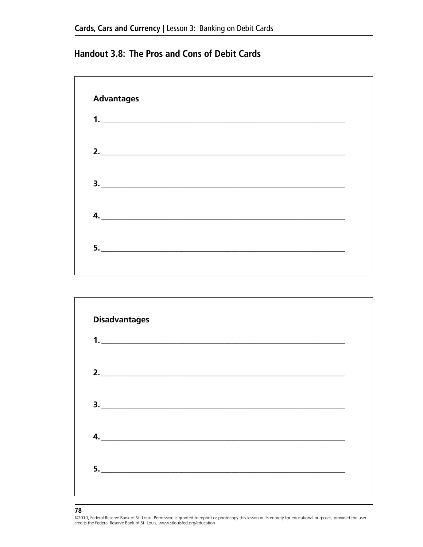### **Handout 3.8: The Pros and Cons of Debit Cards**





#### **78**

©2010, Federal Reserve Bank of St. Louis Permission is granted to reprint or photocopy this lesson in its entirety for educational purposes, provided the user credits the Federal Reserve Bank of St. Louis, www.stlouisfed.org/education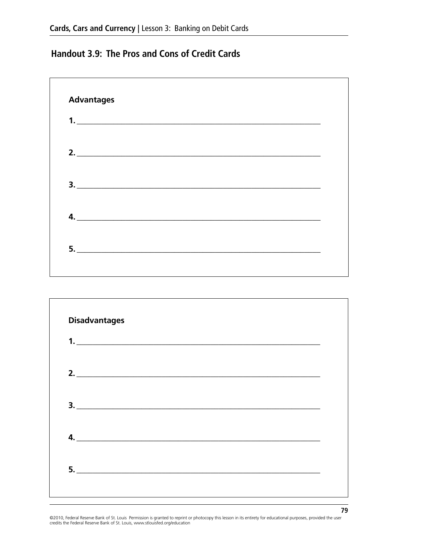## **Handout 3.9: The Pros and Cons of Credit Cards**





©2010, Federal Reserve Bank of St. Louis Permission is granted to reprint or photocopy this lesson in its entirety for educational purposes, provided the user credits the Federal Reserve Bank of St. Louis, www.stlouisfed.org/education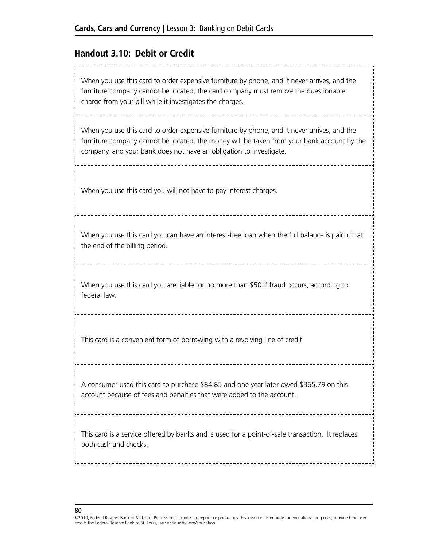### **Handout 3.10: Debit or Credit**

When you use this card to order expensive furniture by phone, and it never arrives, and the furniture company cannot be located, the card company must remove the questionable charge from your bill while it investigates the charges. When you use this card to order expensive furniture by phone, and it never arrives, and the furniture company cannot be located, the money will be taken from your bank account by the company, and your bank does not have an obligation to investigate. When you use this card you will not have to pay interest charges. When you use this card you can have an interest-free loan when the full balance is paid off at the end of the billing period. When you use this card you are liable for no more than \$50 if fraud occurs, according to federal law. This card is a convenient form of borrowing with a revolving line of credit. A consumer used this card to purchase \$84.85 and one year later owed \$365.79 on this account because of fees and penalties that were added to the account. This card is a service offered by banks and is used for a point-of-sale transaction. It replaces both cash and checks.

<sup>©2010,</sup> Federal Reserve Bank of St. Louis Permission is granted to reprint or photocopy this lesson in its entirety for educational purposes, provided the user credits the Federal Reserve Bank of St. Louis, www.stlouisfed.org/education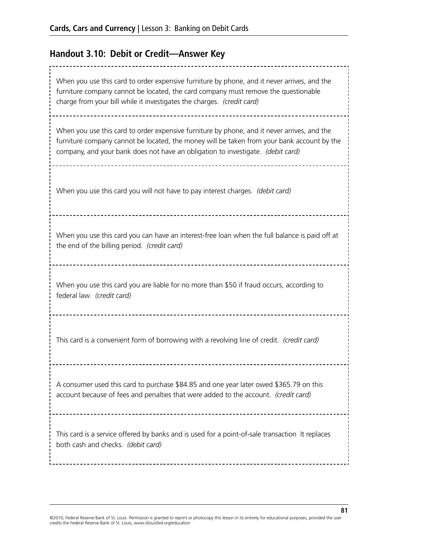# **Handout 3.10: Debit or Credit—Answer Key**

| When you use this card to order expensive furniture by phone, and it never arrives, and the<br>furniture company cannot be located, the card company must remove the questionable<br>charge from your bill while it investigates the charges. (credit card)                  |
|------------------------------------------------------------------------------------------------------------------------------------------------------------------------------------------------------------------------------------------------------------------------------|
| When you use this card to order expensive furniture by phone, and it never arrives, and the<br>furniture company cannot be located, the money will be taken from your bank account by the<br>company, and your bank does not have an obligation to investigate. (debit card) |
| When you use this card you will not have to pay interest charges. (debit card)                                                                                                                                                                                               |
| When you use this card you can have an interest-free loan when the full balance is paid off at<br>the end of the billing period. (credit card)                                                                                                                               |
| When you use this card you are liable for no more than \$50 if fraud occurs, according to<br>federal law. (credit card)                                                                                                                                                      |
| This card is a convenient form of borrowing with a revolving line of credit. (credit card)                                                                                                                                                                                   |
| A consumer used this card to purchase \$84.85 and one year later owed \$365.79 on this<br>account because of fees and penalties that were added to the account. (credit card)                                                                                                |
| This card is a service offered by banks and is used for a point-of-sale transaction It replaces<br>both cash and checks. (debit card)                                                                                                                                        |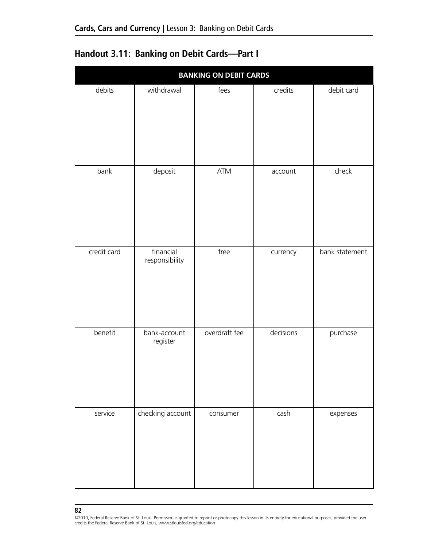| <b>Handout 3.11: Banking on Debit Cards-Part I</b> |  |  |  |  |
|----------------------------------------------------|--|--|--|--|
|----------------------------------------------------|--|--|--|--|

| <b>BANKING ON DEBIT CARDS</b> |                             |               |           |                |  |  |  |
|-------------------------------|-----------------------------|---------------|-----------|----------------|--|--|--|
| debits                        | withdrawal                  | fees          | credits   | debit card     |  |  |  |
| bank                          | deposit                     | <b>ATM</b>    | account   | check          |  |  |  |
| credit card                   | financial<br>responsibility | free          | currency  | bank statement |  |  |  |
| benefit                       | bank-account<br>register    | overdraft fee | decisions | purchase       |  |  |  |
| service                       | checking account            | consumer      | cash      | expenses       |  |  |  |

<sup>©2010,</sup> Federal Reserve Bank of St. Louis Permission is granted to reprint or photocopy this lesson in its entirety for educational purposes, provided the user<br>credits the Federal Reserve Bank of St. Louis, www.stlouisfed.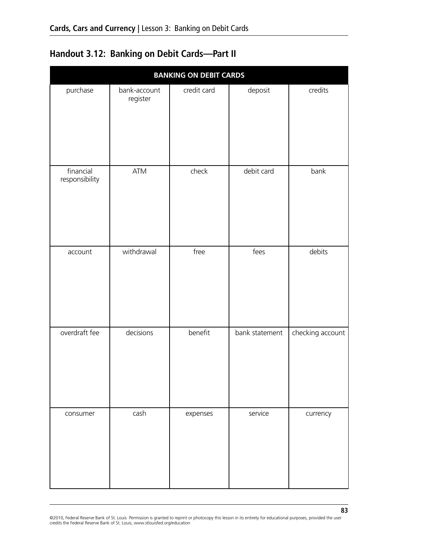# **Handout 3.12: Banking on Debit Cards—Part II**

| <b>BANKING ON DEBIT CARDS</b> |                          |             |                |                  |  |  |  |
|-------------------------------|--------------------------|-------------|----------------|------------------|--|--|--|
| purchase                      | bank-account<br>register | credit card | deposit        | credits          |  |  |  |
| financial<br>responsibility   | ATM                      | check       | debit card     | bank             |  |  |  |
| account                       | withdrawal               | free        | fees           | debits           |  |  |  |
| overdraft fee                 | decisions                | benefit     | bank statement | checking account |  |  |  |
| consumer                      | cash                     | expenses    | service        | currency         |  |  |  |